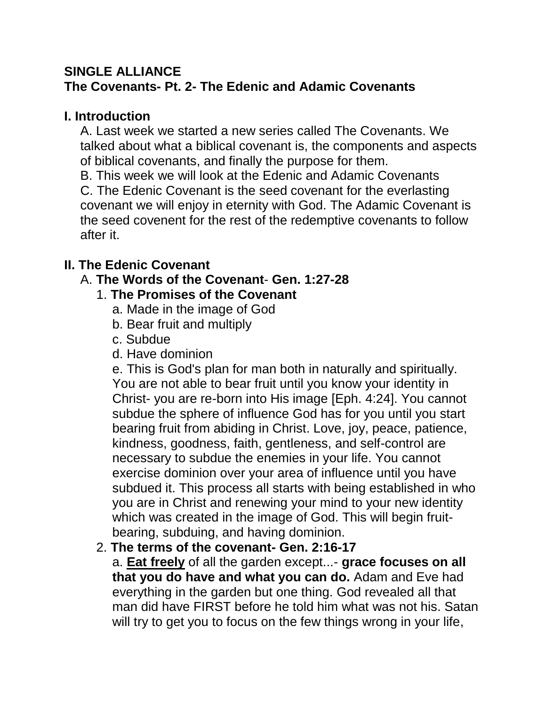## **SINGLE ALLIANCE The Covenants- Pt. 2- The Edenic and Adamic Covenants**

### **I. Introduction**

A. Last week we started a new series called The Covenants. We talked about what a biblical covenant is, the components and aspects of biblical covenants, and finally the purpose for them.

B. This week we will look at the Edenic and Adamic Covenants

C. The Edenic Covenant is the seed covenant for the everlasting covenant we will enjoy in eternity with God. The Adamic Covenant is the seed covenent for the rest of the redemptive covenants to follow after it.

# **II. The Edenic Covenant**

## A. **The Words of the Covenant**- **Gen. 1:27-28**

### 1. **The Promises of the Covenant**

- a. Made in the image of God
- b. Bear fruit and multiply
- c. Subdue
- d. Have dominion

e. This is God's plan for man both in naturally and spiritually. You are not able to bear fruit until you know your identity in Christ- you are re-born into His image [Eph. 4:24]. You cannot subdue the sphere of influence God has for you until you start bearing fruit from abiding in Christ. Love, joy, peace, patience, kindness, goodness, faith, gentleness, and self-control are necessary to subdue the enemies in your life. You cannot exercise dominion over your area of influence until you have subdued it. This process all starts with being established in who you are in Christ and renewing your mind to your new identity which was created in the image of God. This will begin fruitbearing, subduing, and having dominion.

# 2. **The terms of the covenant- Gen. 2:16-17**

a. **Eat freely** of all the garden except...- **grace focuses on all that you do have and what you can do.** Adam and Eve had everything in the garden but one thing. God revealed all that man did have FIRST before he told him what was not his. Satan will try to get you to focus on the few things wrong in your life,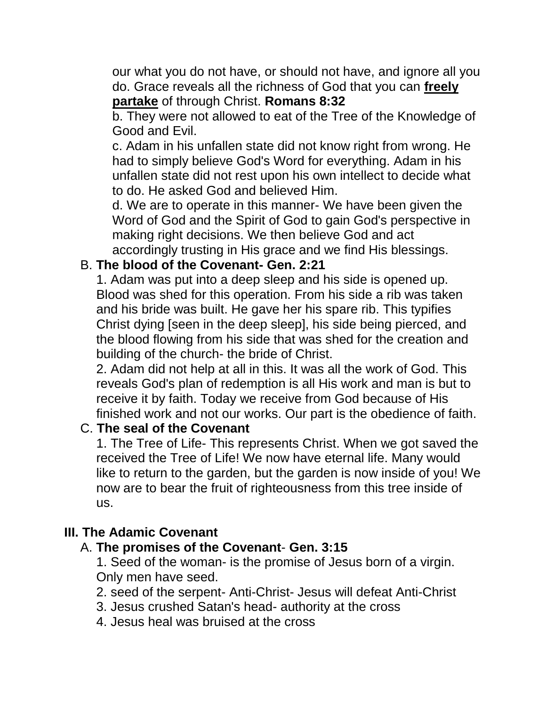our what you do not have, or should not have, and ignore all you do. Grace reveals all the richness of God that you can **freely partake** of through Christ. **Romans 8:32**

b. They were not allowed to eat of the Tree of the Knowledge of Good and Evil.

c. Adam in his unfallen state did not know right from wrong. He had to simply believe God's Word for everything. Adam in his unfallen state did not rest upon his own intellect to decide what to do. He asked God and believed Him.

d. We are to operate in this manner- We have been given the Word of God and the Spirit of God to gain God's perspective in making right decisions. We then believe God and act accordingly trusting in His grace and we find His blessings.

#### B. **The blood of the Covenant- Gen. 2:21**

1. Adam was put into a deep sleep and his side is opened up. Blood was shed for this operation. From his side a rib was taken and his bride was built. He gave her his spare rib. This typifies Christ dying [seen in the deep sleep], his side being pierced, and the blood flowing from his side that was shed for the creation and building of the church- the bride of Christ.

2. Adam did not help at all in this. It was all the work of God. This reveals God's plan of redemption is all His work and man is but to receive it by faith. Today we receive from God because of His finished work and not our works. Our part is the obedience of faith.

#### C. **The seal of the Covenant**

1. The Tree of Life- This represents Christ. When we got saved the received the Tree of Life! We now have eternal life. Many would like to return to the garden, but the garden is now inside of you! We now are to bear the fruit of righteousness from this tree inside of us.

#### **III. The Adamic Covenant**

#### A. **The promises of the Covenant**- **Gen. 3:15**

1. Seed of the woman- is the promise of Jesus born of a virgin. Only men have seed.

- 2. seed of the serpent- Anti-Christ- Jesus will defeat Anti-Christ
- 3. Jesus crushed Satan's head- authority at the cross
- 4. Jesus heal was bruised at the cross